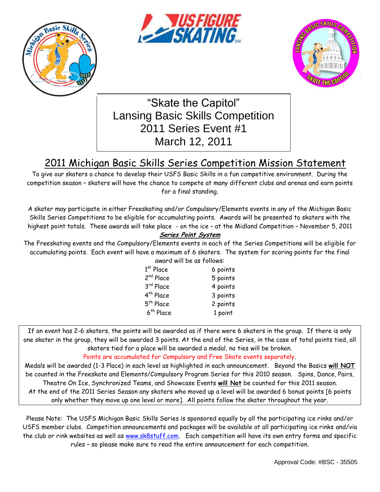





"Skate the Capitol" Lansing Basic Skills Competition 2011 Series Event #1 March 12, 2011

# 2011 Michigan Basic Skills Series Competition Mission Statement

To give our skaters a chance to develop their USFS Basic Skills in a fun competitive environment. During the competition season – skaters will have the chance to compete at many different clubs and arenas and earn points for a final standing.

A skater may participate in either Freeskating and/or Compulsory/Elements events in any of the Michigan Basic Skills Series Competitions to be eligible for accumulating points. Awards will be presented to skaters with the highest point totals. These awards will take place - on the ice – at the Midland Competition – November 5, 2011

### **Series Point System**

The Freeskating events and the Compulsory/Elements events in each of the Series Competitions will be eligible for accumulating points. Each event will have a maximum of 6 skaters. The system for scoring points for the final award will be as follows:

| awai a will be as Tollows. |          |
|----------------------------|----------|
| $1st$ Place                | 6 points |
| 2 <sup>nd</sup> Place      | 5 points |
| 3rd Place                  | 4 points |
| 4 <sup>th</sup> Place      | 3 points |
| 5 <sup>th</sup> Place      | 2 points |
| 6 <sup>th</sup> Place      | 1 point  |
|                            |          |

If an event has 2-6 skaters, the points will be awarded as if there were 6 skaters in the group. If there is only one skater in the group, they will be awarded 3 points. At the end of the Series, in the case of total points tied, all skaters tied for a place will be awarded a medal, no ties will be broken.

### Points are accumulated for Compulsory and Free Skate events separately.

Medals will be awarded (1-3 Place) in each level as highlighted in each announcement. Beyond the Basics **will NOT** be counted in the Freeskate and Elements/Compulsory Program Series for this 2010 season. Spins, Dance, Pairs, Theatre On Ice, Synchronized Teams, and Showcase Events **will Not** be counted for this 2011 season. At the end of the 2011 Series Season any skaters who moved up a level will be awarded 6 bonus points [6 points only whether they move up one level or more]. All points follow the skater throughout the year.

Please Note: The USFS Michigan Basic Skills Series is sponsored equally by all the participating ice rinks and/or USFS member clubs. Competition announcements and packages will be available at all participating ice rinks and/via the club or rink websites as well as [www.sk8stuff.com.](http://www.sk8stuff.com/) Each competition will have its own entry forms and specific rules – so please make sure to read the entire announcement for each competition.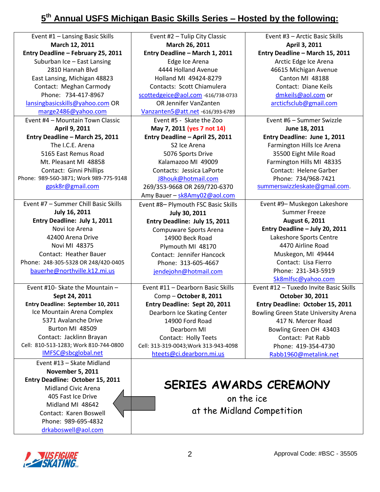## **5 th Annual USFS Michigan Basic Skills Series – Hosted by the following:**

| Event #1 - Lansing Basic Skills        | Event #2 - Tulip City Classic                   | Event #3 - Arctic Basic Skills              |
|----------------------------------------|-------------------------------------------------|---------------------------------------------|
| March 12, 2011                         | March 26, 2011                                  | April 3, 2011                               |
| Entry Deadline - February 25, 2011     | Entry Deadline - March 1, 2011                  | Entry Deadline - March 15, 2011             |
| Suburban Ice - East Lansing            | Edge Ice Arena                                  | Arctic Edge Ice Arena                       |
| 2810 Hannah Blvd                       | 4444 Holland Avenue                             | 46615 Michigan Avenue                       |
| East Lansing, Michigan 48823           | Holland MI 49424-8279                           | Canton MI 48188                             |
| Contact: Meghan Carmody                | Contacts: Scott Chiamulera                      | Contact: Diane Keils                        |
| Phone: 734-417-8967                    | scottedgeice@aol.com -616/738-0733              | dmkeils@aol.com or                          |
| lansingbasicskills@yahoo.com OR        | OR Jennifer VanZanten                           | arcticfsclub@gmail.com                      |
| marge2486@yahoo.com                    | Vanzanten5@att.net -616/393-6789                |                                             |
| Event #4 - Mountain Town Classic       | Event #5 - Skate the Zoo                        | Event #6 - Summer Swizzle                   |
| April 9, 2011                          | May 7, 2011 (yes 7 not 14)                      | June 18, 2011                               |
| Entry Deadline - March 25, 2011        |                                                 | Entry Deadline: June 1, 2011                |
| The I.C.E. Arena                       | Entry Deadline - April 25, 2011<br>S2 Ice Arena |                                             |
|                                        |                                                 | Farmington Hills Ice Arena                  |
| 5165 East Remus Road                   | 5076 Sports Drive                               | 35500 Eight Mile Road                       |
| Mt. Pleasant MI 48858                  | Kalamazoo MI 49009                              | Farmington Hills MI 48335                   |
| Contact: Ginni Phillips                | Contacts: Jessica LaPorte                       | Contact: Helene Garber                      |
| Phone: 989-560-3871; Work 989-775-9148 | J8houk@hotmail.com                              | Phone: 734/968-7421                         |
| gpsk8r@gmail.com                       | 269/353-9668 OR 269/720-6370                    | summerswizzleskate@gmail.com.               |
|                                        | Amy Bauer - sk8Amy02@aol.com                    |                                             |
| Event #7 - Summer Chill Basic Skills   | Event #8- Plymouth FSC Basic Skills             | Event #9- Muskegon Lakeshore                |
| July 16, 2011                          | July 30, 2011                                   | <b>Summer Freeze</b>                        |
| Entry Deadline: July 1, 2011           | Entry Deadline: July 15, 2011                   | August 6, 2011                              |
| Novi Ice Arena                         | Compuware Sports Arena                          | Entry Deadline - July 20, 2011              |
| 42400 Arena Drive                      | 14900 Beck Road                                 | Lakeshore Sports Centre                     |
| Novi MI 48375                          | Plymouth MI 48170                               | 4470 Airline Road                           |
| Contact: Heather Bauer                 | Contact: Jennifer Hancock                       | Muskegon, MI 49444                          |
| Phone: 248-305-5328 OR 248/420-0405    | Phone: 313-605-4667                             | Contact: Lisa Fierro                        |
| bauerhe@northville.k12.mi.us           | jendejohn@hotmail.com                           | Phone: 231-343-5919                         |
|                                        |                                                 | Sk8mlfsc@yahoo.com                          |
| Event #10- Skate the Mountain -        | Event #11 - Dearborn Basic Skills               | Event #12 - Tuxedo Invite Basic Skills      |
| Sept 24, 2011                          | Comp - October 8, 2011                          | October 30, 2011                            |
| Entry Deadline: September 10, 2011     | Entry Deadline: Sept 20, 2011                   | Entry Deadline: October 15, 2011            |
| Ice Mountain Arena Complex             | Dearborn Ice Skating Center                     | <b>Bowling Green State University Arena</b> |
| 5371 Avalanche Drive                   | 14900 Ford Road                                 | 417 N. Mercer Road                          |
| Burton MI 48509                        | Dearborn MI                                     | Bowling Green OH 43403                      |
| Contact: Jacklinn Brayan               | Contact: Holly Teets                            | Contact: Pat Rabb                           |
| Cell: 810-513-1283; Work 810-744-0800  | Cell: 313-319-0043; Work 313-943-4098           | Phone: 419-354-4730                         |
| IMFSC@sbcglobal.net                    | hteets@ci.dearborn.mi.us                        | Rabb1960@metalink.net                       |
| Event #13 - Skate Midland              |                                                 |                                             |
| <b>November 5, 2011</b>                |                                                 |                                             |
| Entry Deadline: October 15, 2011       |                                                 |                                             |
| <b>Midland Civic Arena</b>             |                                                 | SERIES AWARDS CEREMONY                      |
| 405 Fast Ice Drive                     |                                                 |                                             |
| Midland MI 48642                       | on the ice                                      |                                             |
| Contact: Karen Boswell                 | at the Midland Competition                      |                                             |
| Phone: 989-695-4832                    |                                                 |                                             |
|                                        |                                                 |                                             |
| drkaboswell@aol.com                    |                                                 |                                             |

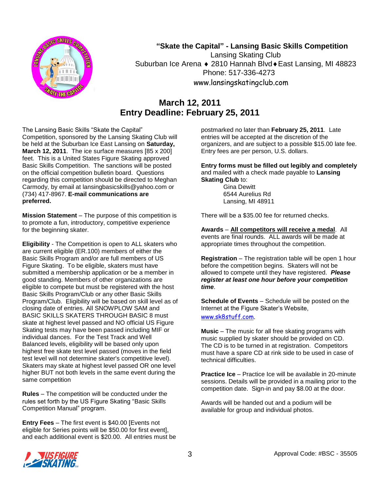

## **"Skate the Capital" - Lansing Basic Skills Competition**

Lansing Skating Club Suburban Ice Arena ♦ 2810 Hannah Blvd ♦ East Lansing, MI 48823 Phone: 517-336-4273 www.lansingskatingclub.com

## **March 12, 2011 Entry Deadline: February 25, 2011**

The Lansing Basic Skills "Skate the Capital" Competition, sponsored by the Lansing Skating Club will be held at the Suburban Ice East Lansing on **Saturday, March 12, 2011**. The ice surface measures [85 x 200] feet. This is a United States Figure Skating approved Basic Skills Competition. The sanctions will be posted on the official competition bulletin board. Questions regarding this competition should be directed to Meghan Carmody, by email at lansingbasicskills@yahoo.com or (734) 417-8967. **E-mail communications are preferred.** 

**Mission Statement** – The purpose of this competition is to promote a fun, introductory, competitive experience for the beginning skater.

**Eligibility** - The Competition is open to ALL skaters who are current eligible (ER.100) members of either the Basic Skills Program and/or are full members of US Figure Skating. To be eligible, skaters must have submitted a membership application or be a member in good standing. Members of other organizations are eligible to compete but must be registered with the host Basic Skills Program/Club or any other Basic Skills Program/Club. Eligibility will be based on skill level as of closing date of entries. All SNOWPLOW SAM and BASIC SKILLS SKATERS THROUGH BASIC 8 must skate at highest level passed and NO official US Figure Skating tests may have been passed including MIF or individual dances. For the Test Track and Well Balanced levels, eligibility will be based only upon highest free skate test level passed (moves in the field test level will not determine skater's competitive level). Skaters may skate at highest level passed OR one level higher BUT not both levels in the same event during the same competition

**Rules** – The competition will be conducted under the rules set forth by the US Figure Skating "Basic Skills Competition Manual" program.

**Entry Fees** – The first event is \$40.00 [Events not eligible for Series points will be \$50.00 for first event], and each additional event is \$20.00. All entries must be postmarked no later than **February 25, 2011**. Late entries will be accepted at the discretion of the organizers, and are subject to a possible \$15.00 late fee. Entry fees are per person, U.S. dollars.

**Entry forms must be filled out legibly and completely**  and mailed with a check made payable to **Lansing Skating Club** to:

> Gina Dewitt 6544 Aurelius Rd Lansing, MI 48911

There will be a \$35.00 fee for returned checks.

**Awards** – **All competitors will receive a medal**. All events are final rounds. ALL awards will be made at appropriate times throughout the competition.

**Registration** – The registration table will be open 1 hour before the competition begins. Skaters will not be allowed to compete until they have registered. *Please register at least one hour before your competition time*.

**Schedule of Events** – Schedule will be posted on the Internet at the Figure Skater's Website, [www.sk8stuff.com.](http://www.sk8stuff.com/)

**Music** – The music for all free skating programs with music supplied by skater should be provided on CD. The CD is to be turned in at registration. Competitors must have a spare CD at rink side to be used in case of technical difficulties.

**Practice Ice** – Practice Ice will be available in 20-minute sessions. Details will be provided in a mailing prior to the competition date. Sign-in and pay \$8.00 at the door.

Awards will be handed out and a podium will be available for group and individual photos.

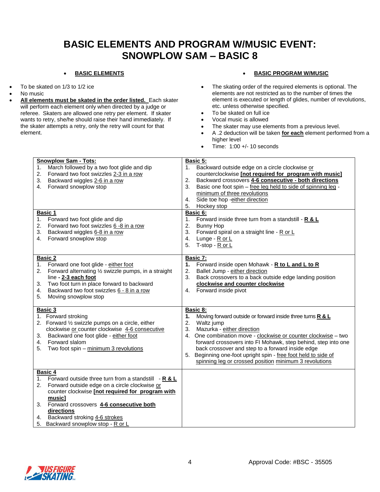## **BASIC ELEMENTS AND PROGRAM W/MUSIC EVENT: SNOWPLOW SAM – BASIC 8**

#### **BASIC ELEMENTS**

- To be skated on 1/3 to 1/2 ice
- No music
- **All elements must be skated in the order listed.** Each skater will perform each element only when directed by a judge or referee. Skaters are allowed one retry per element. If skater wants to retry, she/he should raise their hand immediately. If the skater attempts a retry, only the retry will count for that element.

#### **BASIC PROGRAM W/MUSIC**

- The skating order of the required elements is optional. The elements are not restricted as to the number of times the element is executed or length of glides, number of revolutions, etc. unless otherwise specified.
- To be skated on full ice
- Vocal music is allowed
- The skater may use elements from a previous level.
- A .2 deduction will be taken **for each** element performed from a higher level
- Time: 1:00 +/- 10 seconds

| <b>Snowplow Sam - Tots:</b>                                 | <b>Basic 5:</b>                                                     |
|-------------------------------------------------------------|---------------------------------------------------------------------|
| March followed by a two foot glide and dip<br>1.            | Backward outside edge on a circle clockwise or<br>1.                |
| 2.<br>Forward two foot swizzles 2-3 in a row                | counterclockwise [not required for program with music]              |
| 3.<br>Backward wiggles 2-6 in a row                         | 2.<br>Backward crossovers 4-6 consecutive - both directions         |
| Forward snowplow stop<br>4.                                 | 3.<br>Basic one foot spin - free leg held to side of spinning leg - |
|                                                             | minimum of three revolutions                                        |
|                                                             | Side toe hop -either direction<br>4.                                |
|                                                             | 5.                                                                  |
|                                                             | Hockey stop                                                         |
| <b>Basic 1</b>                                              | Basic 6:                                                            |
| 1. Forward two foot glide and dip                           | Forward inside three turn from a standstill - R & L<br>1.           |
| Forward two foot swizzles 6 -8 in a row<br>2.               | 2.<br><b>Bunny Hop</b>                                              |
| Backward wiggles 6-8 in a row<br>3.                         | 3.<br>Forward spiral on a straight line - R or L                    |
| Forward snowplow stop<br>4.                                 | Lunge - R or L<br>4.                                                |
|                                                             | T-stop - R or L<br>5.                                               |
|                                                             |                                                                     |
| Basic 2                                                     | Basic 7:                                                            |
| Forward one foot glide - either foot<br>1.                  | Forward inside open Mohawk - R to L and L to R<br>1.                |
| Forward alternating 1/2 swizzle pumps, in a straight<br>2.  | Ballet Jump - either direction<br>2.                                |
| line - 2-3 each foot                                        | Back crossovers to a back outside edge landing position<br>3.       |
| Two foot turn in place forward to backward<br>3.            | clockwise and counter clockwise                                     |
| Backward two foot swizzles 6 - 8 in a row<br>4.             | Forward inside pivot<br>4.                                          |
| 5.                                                          |                                                                     |
| Moving snowplow stop                                        |                                                                     |
| Basic 3                                                     | Basic 8:                                                            |
|                                                             |                                                                     |
| 1. Forward stroking                                         | Moving forward outside or forward inside three turns R & L<br>1.    |
| 2. Forward 1/2 swizzle pumps on a circle, either            | 2.<br>Waltz jump                                                    |
| clockwise or counter clockwise 4-6 consecutive              | 3.<br>Mazurka - either direction                                    |
| 3. Backward one foot glide - either foot                    | 4. One combination move - clockwise or counter clockwise - two      |
| 4. Forward slalom                                           | forward crossovers into FI Mohawk, step behind, step into one       |
| Two foot spin - minimum 3 revolutions<br>5.                 | back crossover and step to a forward inside edge                    |
|                                                             | Beginning one-foot upright spin - free foot held to side of<br>5.   |
|                                                             | spinning leg or crossed position minimum 3 revolutions              |
|                                                             |                                                                     |
| <b>Basic 4</b>                                              |                                                                     |
| Forward outside three turn from a standstill $-R & L$<br>1. |                                                                     |
| Forward outside edge on a circle clockwise or<br>2.         |                                                                     |
| counter clockwise [not required for program with            |                                                                     |
| music1                                                      |                                                                     |
| 3. Forward crossovers 4-6 consecutive both                  |                                                                     |
| directions                                                  |                                                                     |
| 4.                                                          |                                                                     |
| 5. Backward snowplow stop - R or L                          |                                                                     |
| Backward stroking 4-6 strokes                               |                                                                     |
|                                                             |                                                                     |

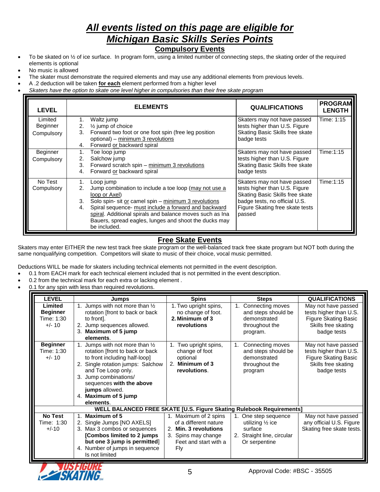# *All events listed on this page are eligible for Michigan Basic Skills Series Points*

## **Compulsory Events**

- $\bullet$  To be skated on  $\frac{1}{2}$  of ice surface. In program form, using a limited number of connecting steps, the skating order of the required elements is optional
- No music is allowed
- The skater must demonstrate the required elements and may use any additional elements from previous levels.
- A .2 deduction will be taken **for each** element performed from a higher level
- *Skaters have the option to skate one level higher in compulsories than their free skate program*

| <b>LEVEL</b>                      |                      | <b>ELEMENTS</b>                                                                                                                                                                                                                                                                                                                          | <b>QUALIFICATIONS</b>                                                                                                                                                         | <b>PROGRAM</b><br><b>LENGTH</b> |
|-----------------------------------|----------------------|------------------------------------------------------------------------------------------------------------------------------------------------------------------------------------------------------------------------------------------------------------------------------------------------------------------------------------------|-------------------------------------------------------------------------------------------------------------------------------------------------------------------------------|---------------------------------|
| Limited<br>Beginner<br>Compulsory | 1.<br>2.<br>3.<br>4. | Waltz jump<br>$\frac{1}{2}$ jump of choice<br>Forward two foot or one foot spin (free leg position<br>optional) - minimum 3 revolutions<br>Forward or backward spiral                                                                                                                                                                    | Skaters may not have passed<br>tests higher than U.S. Figure<br>Skating Basic Skills free skate<br>badge tests                                                                | Time: 1:15                      |
| Beginner<br>Compulsory            | 2.<br>3.<br>4.       | Toe loop jump<br>Salchow jump<br>Forward scratch spin – minimum 3 revolutions<br>Forward or backward spiral                                                                                                                                                                                                                              | Skaters may not have passed<br>tests higher than U.S. Figure<br>Skating Basic Skills free skate<br>badge tests                                                                | Time:1:15                       |
| No Test<br>Compulsory             | 2.<br>3.<br>4.       | Loop jump<br>Jump combination to include a toe loop (may not use a<br>loop or Axel)<br>Solo spin- sit or camel spin - minimum 3 revolutions<br>Spiral sequence- must include a forward and backward<br>spiral. Additional spirals and balance moves such as Ina<br>Bauers, spread eagles, lunges and shoot the ducks may<br>be included. | Skaters may not have passed<br>tests higher than U.S. Figure<br>Skating Basic Skills free skate<br>badge tests, no official U.S.<br>Figure Skating free skate tests<br>passed | Time:1:15                       |

### **Free Skate Events**

Skaters may enter EITHER the new test track free skate program or the well-balanced track free skate program but NOT both during the same nonqualifying competition. Competitors will skate to music of their choice, vocal music permitted.

Deductions WILL be made for skaters including technical elements not permitted in the event description.

0.1 from EACH mark for each technical element included that is not permitted in the event description.

- 0.2 from the technical mark for each extra or lacking element .
- 0.1 for any spin with less than required revolutions.

| <b>LEVEL</b>                                         | <b>Jumps</b>                                                                                                                                                                                                                                                                         | <b>Spins</b>                                                                                                                   | <b>Steps</b>                                                                                               | <b>QUALIFICATIONS</b>                                                                                              |
|------------------------------------------------------|--------------------------------------------------------------------------------------------------------------------------------------------------------------------------------------------------------------------------------------------------------------------------------------|--------------------------------------------------------------------------------------------------------------------------------|------------------------------------------------------------------------------------------------------------|--------------------------------------------------------------------------------------------------------------------|
| Limited<br><b>Beginner</b><br>Time: 1:30<br>$+/- 10$ | 1. Jumps with not more than 1/2<br>rotation [front to back or back<br>to front.<br>2. Jump sequences allowed.<br>3. Maximum of 5 jump<br>elements.                                                                                                                                   | 1. Two upright spins,<br>no change of foot.<br>2. Minimum of 3<br>revolutions                                                  | Connecting moves<br>and steps should be<br>demonstrated<br>throughout the<br>program.                      | May not have passed<br>tests higher than U.S.<br><b>Figure Skating Basic</b><br>Skills free skating<br>badge tests |
| <b>Beginner</b><br>Time: 1:30<br>$+/- 10$            | 1. Jumps with not more than $\frac{1}{2}$<br>rotation [front to back or back<br>to front including half-loop]<br>2. Single rotation jumps: Salchow<br>and Toe Loop only.<br>3. Jump combinations/<br>sequences with the above<br>jumps allowed.<br>4. Maximum of 5 jump<br>elements. | 1. Two upright spins,<br>change of foot<br>optional<br>2. Minimum of 3<br>revolutions.                                         | Connecting moves<br>and steps should be<br>demonstrated<br>throughout the<br>program                       | May not have passed<br>tests higher than U.S.<br><b>Figure Skating Basic</b><br>Skills free skating<br>badge tests |
|                                                      | WELL BALANCED FREE SKATE [U.S. Figure Skating Rulebook Requirements]                                                                                                                                                                                                                 |                                                                                                                                |                                                                                                            |                                                                                                                    |
| <b>No Test</b><br>Time: 1:30<br>$+/-10$              | 1. Maximum of 5<br>2. Single Jumps [NO AXELS]<br>3. Max 3 combos or sequences<br>[Combos limited to 2 jumps<br>but one 3 jump is permitted]<br>4. Number of jumps in sequence<br>Is not limited                                                                                      | 1. Maximum of 2 spins<br>of a different nature<br>2. Min. 3 revolutions<br>3. Spins may change<br>Feet and start with a<br>Fly | One step sequence<br>utilizing $\frac{1}{2}$ ice<br>surface<br>2. Straight line, circular<br>Or serpentine | May not have passed<br>any official U.S. Figure<br>Skating free skate tests.                                       |

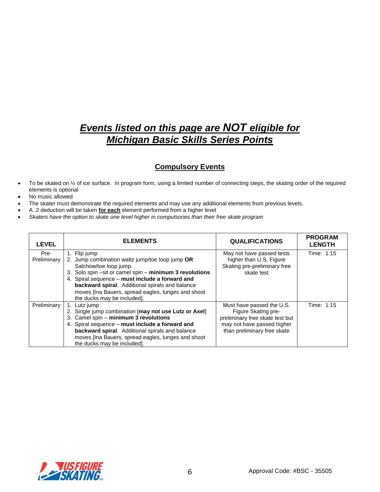# *Events listed on this page are NOT eligible for Michigan Basic Skills Series Points*

### **Compulsory Events**

- To be skated on 1/2 of ice surface. In program form, using a limited number of connecting steps, the skating order of the required elements is optional
- No music allowed
- The skater must demonstrate the required elements and may use any additional elements from previous levels.
- A .2 deduction will be taken **for each** element performed from a higher level
- *Skaters have the option to skate one level higher in compulsories than their free skate program*

| <b>LEVEL</b>        | <b>ELEMENTS</b>                                                                                                                                                                                                                                                                                                                                 | <b>QUALIFICATIONS</b>                                                                                                                            | <b>PROGRAM</b><br><b>LENGTH</b> |
|---------------------|-------------------------------------------------------------------------------------------------------------------------------------------------------------------------------------------------------------------------------------------------------------------------------------------------------------------------------------------------|--------------------------------------------------------------------------------------------------------------------------------------------------|---------------------------------|
| Pre-<br>Preliminary | 1. Flip jump<br>2. Jump combination waltz jump/toe loop jump OR<br>Salchow/toe loop jump.<br>3. Solo spin -sit or camel spin - minimum 3 revolutions<br>4. Spiral sequence - must include a forward and<br>backward spiral. Additional spirals and balance<br>moves [Ina Bauers, spread eagles, lunges and shoot<br>the ducks may be included]. | May not have passed tests<br>higher than U.S, Figure<br>Skating pre-preliminary free<br>skate test                                               | Time: 1:15                      |
| Preliminary         | 1. Lutz jump<br>2. Single jump combination [may not use Lutz or Axel]<br>3. Camel spin - minimum 3 revolutions<br>4. Spiral sequence - must include a forward and<br>backward spiral. Additional spirals and balance<br>moves [Ina Bauers, spread eagles, lunges and shoot<br>the ducks may be included].                                       | Must have passed the U.S.<br>Figure Skating pre-<br>preliminary free skate test but<br>may not have passed higher<br>than preliminary free skate | Time: 1:15                      |

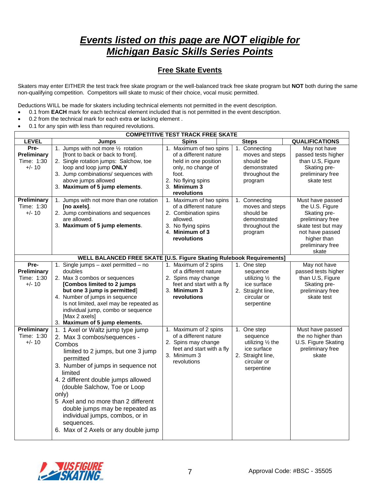# *Events listed on this page are NOT eligible for Michigan Basic Skills Series Points*

### **Free Skate Events**

Skaters may enter EITHER the test track free skate program or the well-balanced track free skate program but **NOT** both during the same non-qualifying competition. Competitors will skate to music of their choice, vocal music permitted.

Deductions WILL be made for skaters including technical elements not permitted in the event description.

- 0.1 from **EACH** mark for each technical element included that is not permitted in the event description.
- 0.2 from the technical mark for each extra **or** lacking element .
- 0.1 for any spin with less than required revolutions.

|                                               |                                                                                                                                                                                                                                                                                                                                                                                                                                   | <b>COMPETITIVE TEST TRACK FREE SKATE</b>                                                                                                                     |                                                                                                               |                                                                                                                                                              |
|-----------------------------------------------|-----------------------------------------------------------------------------------------------------------------------------------------------------------------------------------------------------------------------------------------------------------------------------------------------------------------------------------------------------------------------------------------------------------------------------------|--------------------------------------------------------------------------------------------------------------------------------------------------------------|---------------------------------------------------------------------------------------------------------------|--------------------------------------------------------------------------------------------------------------------------------------------------------------|
| <b>LEVEL</b>                                  | <b>Jumps</b>                                                                                                                                                                                                                                                                                                                                                                                                                      | <b>Spins</b>                                                                                                                                                 | <b>Steps</b>                                                                                                  | <b>QUALIFICATIONS</b>                                                                                                                                        |
| Pre-<br>Preliminary<br>Time: 1:30<br>$+/- 10$ | 1. Jumps with not more 1/2 rotation<br>[front to back or back to front].<br>2. Single rotation jumps: Salchow, toe<br>loop and loop jump ONLY<br>3. Jump combinations/ sequences with<br>above jumps allowed<br>3. Maximum of 5 jump elements.                                                                                                                                                                                    | 1. Maximum of two spins<br>of a different nature<br>held in one position<br>only, no change of<br>foot.<br>2. No flying spins<br>3. Minimum 3<br>revolutions | 1. Connecting<br>moves and steps<br>should be<br>demonstrated<br>throughout the<br>program                    | May not have<br>passed tests higher<br>than U.S, Figure<br>Skating pre-<br>preliminary free<br>skate test                                                    |
| Preliminary<br>Time: 1:30<br>$+/- 10$         | 1. Jumps with not more than one rotation<br>[no axels].<br>2. Jump combinations and sequences<br>are allowed.<br>3. Maximum of 5 jump elements.                                                                                                                                                                                                                                                                                   | 1. Maximum of two spins<br>of a different nature<br>2. Combination spins<br>allowed.<br>3. No flying spins<br>4. Minimum of 3<br>revolutions                 | 1. Connecting<br>moves and steps<br>should be<br>demonstrated<br>throughout the<br>program                    | Must have passed<br>the U.S. Figure<br>Skating pre-<br>preliminary free<br>skate test but may<br>not have passed<br>higher than<br>preliminary free<br>skate |
|                                               | WELL BALANCED FREE SKATE [U.S. Figure Skating Rulebook Requirements]                                                                                                                                                                                                                                                                                                                                                              |                                                                                                                                                              |                                                                                                               |                                                                                                                                                              |
| Pre-<br>Preliminary<br>Time: 1:30<br>$+/- 10$ | 1. Single jumps - axel permitted - no<br>doubles<br>2. Max 3 combos or sequences<br>[Combos limited to 2 jumps<br>but one 3 jump is permitted]<br>4. Number of jumps in sequence<br>Is not limited, axel may be repeated as<br>individual jump, combo or sequence<br>[Max 2 axels]<br>3. Maximum of 5 jump elements.                                                                                                              | 1. Maximum of 2 spins<br>of a different nature<br>2. Spins may change<br>feet and start with a fly<br>3. Minimum 3<br>revolutions                            | 1. One step<br>sequence<br>utilizing 1/2 the<br>ice surface<br>2. Straight line,<br>circular or<br>serpentine | May not have<br>passed tests higher<br>than U.S, Figure<br>Skating pre-<br>preliminary free<br>skate test                                                    |
| Preliminary<br>Time: 1:30<br>$+/- 10$         | 1. 1 Axel or Waltz jump type jump<br>2. Max 3 combos/sequences -<br>Combos<br>limited to 2 jumps, but one 3 jump<br>permitted<br>3. Number of jumps in sequence not<br>limited<br>4. 2 different double jumps allowed<br>(double Salchow, Toe or Loop<br>only)<br>5 Axel and no more than 2 different<br>double jumps may be repeated as<br>individual jumps, combos, or in<br>sequences.<br>6. Max of 2 Axels or any double jump | 1. Maximum of 2 spins<br>of a different nature<br>2. Spins may change<br>feet and start with a fly<br>3. Minimum 3<br>revolutions                            | 1. One step<br>sequence<br>utilizing 1/2 the<br>ice surface<br>2. Straight line,<br>circular or<br>serpentine | Must have passed<br>the no higher than<br>U.S. Figure Skating<br>preliminary free<br>skate                                                                   |

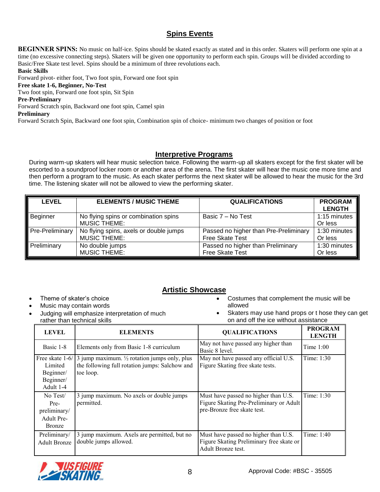## **Spins Events**

**BEGINNER SPINS:** No music on half-ice. Spins should be skated exactly as stated and in this order. Skaters will perform one spin at a time (no excessive connecting steps). Skaters will be given one opportunity to perform each spin. Groups will be divided according to Basic/Free Skate test level. Spins should be a minimum of three revolutions each.

#### **Basic Skills**

Forward pivot- either foot, Two foot spin, Forward one foot spin

#### **Free skate 1-6, Beginner, No-Test**

Two foot spin, Forward one foot spin, Sit Spin

#### **Pre-Preliminary**

Forward Scratch spin, Backward one foot spin, Camel spin

#### **Preliminary**

Forward Scratch Spin, Backward one foot spin, Combination spin of choice- minimum two changes of position or foot

### **Interpretive Programs**

During warm-up skaters will hear music selection twice. Following the warm-up all skaters except for the first skater will be escorted to a soundproof locker room or another area of the arena. The first skater will hear the music one more time and then perform a program to the music. As each skater performs the next skater will be allowed to hear the music for the 3rd time. The listening skater will not be allowed to view the performing skater.

| <b>LEVEL</b>           | <b>ELEMENTS / MUSIC THEME</b>          | <b>QUALIFICATIONS</b>                 | <b>PROGRAM</b><br><b>LENGTH</b> |
|------------------------|----------------------------------------|---------------------------------------|---------------------------------|
| Beginner               | No flying spins or combination spins   | Basic 7 – No Test                     | 1:15 minutes                    |
|                        | <b>MUSIC THEME:</b>                    |                                       | Or less                         |
| <b>Pre-Preliminary</b> | No flying spins, axels or double jumps | Passed no higher than Pre-Preliminary | 1:30 minutes                    |
|                        | <b>MUSIC THEME:</b>                    | Free Skate Test                       | Or less                         |
| Preliminary            | No double jumps                        | Passed no higher than Preliminary     | 1:30 minutes                    |
|                        | <b>MUSIC THEME:</b>                    | Free Skate Test                       | Or less                         |

## **Artistic Showcase**

- Theme of skater's choice
- Music may contain words
- Judging will emphasize interpretation of much rather than technical skills
- Costumes that complement the music will be allowed
- Skaters may use hand props or t hose they can get on and off the ice without assistance

| <b>LEVEL</b>                                                    | <b>ELEMENTS</b>                                                                                                                         | <b>QUALIFICATIONS</b>                                                                                          | <b>PROGRAM</b><br><b>LENGTH</b> |
|-----------------------------------------------------------------|-----------------------------------------------------------------------------------------------------------------------------------------|----------------------------------------------------------------------------------------------------------------|---------------------------------|
| Basic 1-8                                                       | Elements only from Basic 1-8 curriculum                                                                                                 | May not have passed any higher than<br>Basic 8 level.                                                          | Time $1:00$                     |
| Limited<br>Beginner/<br>Beginner/<br>Adult 1-4                  | Free skate $1-6/3$ jump maximum. $\frac{1}{2}$ rotation jumps only, plus<br>the following full rotation jumps: Salchow and<br>toe loop. | May not have passed any official U.S.<br>Figure Skating free skate tests.                                      | Time: 1:30                      |
| No Test/<br>Pre-<br>preliminary/<br>Adult Pre-<br><b>Bronze</b> | 3 jump maximum. No axels or double jumps<br>permitted.                                                                                  | Must have passed no higher than U.S.<br>Figure Skating Pre-Preliminary or Adult<br>pre-Bronze free skate test. | Time: 1:30                      |
| Preliminary/<br><b>Adult Bronze</b>                             | 3 jump maximum. Axels are permitted, but no<br>double jumps allowed.                                                                    | Must have passed no higher than U.S.<br>Figure Skating Preliminary free skate or<br>Adult Bronze test.         | Time: 1:40                      |

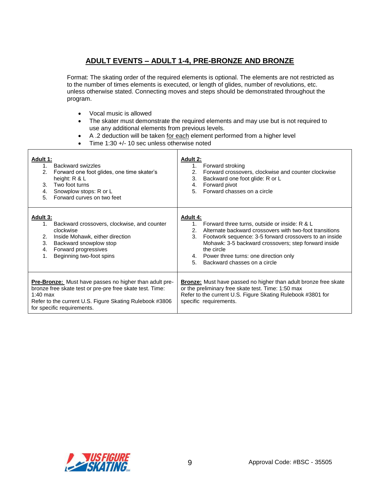## **ADULT EVENTS – ADULT 1-4, PRE-BRONZE AND BRONZE**

Format: The skating order of the required elements is optional. The elements are not restricted as to the number of times elements is executed, or length of glides, number of revolutions, etc. unless otherwise stated. Connecting moves and steps should be demonstrated throughout the program.

- Vocal music is allowed
- The skater must demonstrate the required elements and may use but is not required to use any additional elements from previous levels.
- A .2 deduction will be taken for each element performed from a higher level
- Time 1:30 +/- 10 sec unless otherwise noted

| <b>Adult 1:</b><br>Backward swizzles<br>1<br>2.<br>Forward one foot glides, one time skater's<br>height: R & L<br>Two foot turns<br>3.<br>Snowplow stops: R or L<br>4.<br>Forward curves on two feet<br>5.                          | Adult 2:<br>1.<br>Forward stroking<br>Forward crossovers, clockwise and counter clockwise<br>2.<br>3.<br>Backward one foot glide: R or L<br>Forward pivot<br>4.<br>Forward chasses on a circle<br>5.                                                                                                                                                                                |
|-------------------------------------------------------------------------------------------------------------------------------------------------------------------------------------------------------------------------------------|-------------------------------------------------------------------------------------------------------------------------------------------------------------------------------------------------------------------------------------------------------------------------------------------------------------------------------------------------------------------------------------|
| <b>Adult 3:</b><br>Backward crossovers, clockwise, and counter<br>$1_{\cdot}$<br>clockwise<br>Inside Mohawk, either direction<br>2.<br>3.<br>Backward snowplow stop<br>Forward progressives<br>4.<br>Beginning two-foot spins<br>1. | <b>Adult 4:</b><br>$1_{\cdot}$<br>Forward three turns, outside or inside: R & L<br>Alternate backward crossovers with two-foot transitions<br>$\mathcal{P}$<br>3.<br>Footwork sequence: 3-5 forward crossovers to an inside<br>Mohawk: 3-5 backward crossovers; step forward inside<br>the circle<br>4. Power three turns: one direction only<br>5.<br>Backward chasses on a circle |
| Pre-Bronze: Must have passes no higher than adult pre-<br>bronze free skate test or pre-pre free skate test. Time:<br>$1:40$ max<br>Refer to the current U.S. Figure Skating Rulebook #3806<br>for specific requirements.           | <b>Bronze:</b> Must have passed no higher than adult bronze free skate<br>or the preliminary free skate test. Time: 1:50 max<br>Refer to the current U.S. Figure Skating Rulebook #3801 for<br>specific requirements.                                                                                                                                                               |

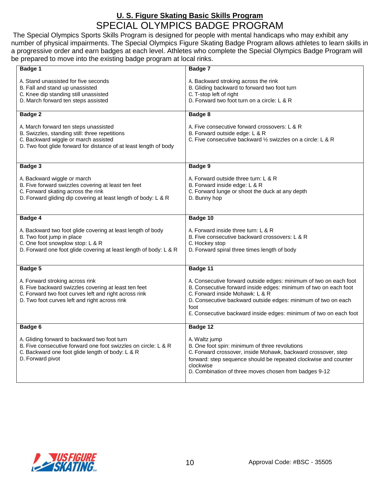## **U. S. Figure Skating Basic Skills Program** SPECIAL OLYMPICS BADGE PROGRAM

The Special Olympics Sports Skills Program is designed for people with mental handicaps who may exhibit any number of physical impairments. The Special Olympics Figure Skating Badge Program allows athletes to learn skills in a progressive order and earn badges at each level. Athletes who complete the Special Olympics Badge Program will be prepared to move into the existing badge program at local rinks.

| Badge 1                                                                                                                                                                                              | Badge 7                                                                                                                                                                                                                                                                                                                |
|------------------------------------------------------------------------------------------------------------------------------------------------------------------------------------------------------|------------------------------------------------------------------------------------------------------------------------------------------------------------------------------------------------------------------------------------------------------------------------------------------------------------------------|
| A. Stand unassisted for five seconds<br>B. Fall and stand up unassisted<br>C. Knee dip standing still unassisted<br>D. March forward ten steps assisted                                              | A. Backward stroking across the rink<br>B. Gliding backward to forward two foot turn<br>C. T-stop left of right<br>D. Forward two foot turn on a circle: L & R                                                                                                                                                         |
| Badge 2                                                                                                                                                                                              | Badge 8                                                                                                                                                                                                                                                                                                                |
| A. March forward ten steps unassisted<br>B. Swizzles, standing still: three repetitions<br>C. Backward wiggle or march assisted<br>D. Two foot glide forward for distance of at least length of body | A. Five consecutive forward crossovers: L & R<br>B. Forward outside edge: L & R<br>C. Five consecutive backward $\frac{1}{2}$ swizzles on a circle: L & R                                                                                                                                                              |
| Badge 3                                                                                                                                                                                              | <b>Badge 9</b>                                                                                                                                                                                                                                                                                                         |
| A. Backward wiggle or march<br>B. Five forward swizzles covering at least ten feet<br>C. Forward skating across the rink<br>D. Forward gliding dip covering at least length of body: L & R           | A. Forward outside three turn: L & R<br>B. Forward inside edge: L & R<br>C. Forward lunge or shoot the duck at any depth<br>D. Bunny hop                                                                                                                                                                               |
| Badge 4                                                                                                                                                                                              | Badge 10                                                                                                                                                                                                                                                                                                               |
| A. Backward two foot glide covering at least length of body<br>B. Two foot jump in place<br>C. One foot snowplow stop: L & R<br>D. Forward one foot glide covering at least length of body: L & R    | A. Forward inside three turn: L & R<br>B. Five consecutive backward crossovers: L & R<br>C. Hockey stop<br>D. Forward spiral three times length of body                                                                                                                                                                |
| Badge 5                                                                                                                                                                                              | Badge 11                                                                                                                                                                                                                                                                                                               |
| A. Forward stroking across rink<br>B. Five backward swizzles covering at least ten feet<br>C. Forward two foot curves left and right across rink<br>D. Two foot curves left and right across rink    | A. Consecutive forward outside edges: minimum of two on each foot<br>B. Consecutive forward inside edges: minimum of two on each foot<br>C. Forward inside Mohawk: L & R<br>D. Consecutive backward outside edges: minimum of two on each<br>foot<br>E. Consecutive backward inside edges: minimum of two on each foot |
| <b>Badge 6</b>                                                                                                                                                                                       | Badge 12                                                                                                                                                                                                                                                                                                               |
| A. Gliding forward to backward two foot turn<br>B. Five consecutive forward one foot swizzles on circle: L & R<br>C. Backward one foot glide length of body: L & R<br>D. Forward pivot               | A. Waltz jump<br>B. One foot spin: minimum of three revolutions<br>C. Forward crossover, inside Mohawk, backward crossover, step<br>forward: step sequence should be repeated clockwise and counter<br>clockwise<br>D. Combination of three moves chosen from badges 9-12                                              |

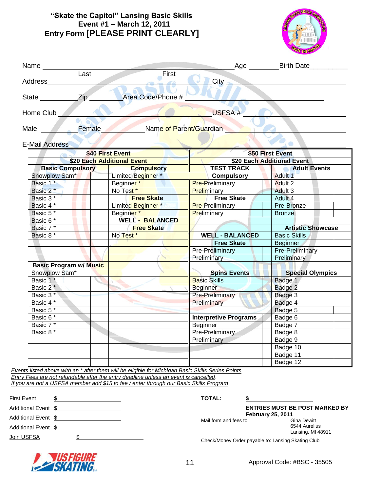## **"Skate the Capitol" Lansing Basic Skills Event #1 – March 12, 2011 Entry Form [PLEASE PRINT CLEARLY]**



| Name and the set of the set of the set of the set of the set of the set of the set of the set of the set of the set of the set of the set of the set of the set of the set of the set of the set of the set of the set of the |                                     |                              | Age __________Birth Date______ |  |
|-------------------------------------------------------------------------------------------------------------------------------------------------------------------------------------------------------------------------------|-------------------------------------|------------------------------|--------------------------------|--|
| Last                                                                                                                                                                                                                          | $F$ irst                            |                              |                                |  |
| Address                                                                                                                                                                                                                       |                                     | $\bigcirc$ $\bigcirc$ ity    |                                |  |
| State _______________________Zip                                                                                                                                                                                              | Area Code/Phone #                   |                              |                                |  |
| Home Club                                                                                                                                                                                                                     |                                     | USFSA#                       |                                |  |
|                                                                                                                                                                                                                               | Male Female Name of Parent/Guardian |                              |                                |  |
| <b>E-Mail Address</b>                                                                                                                                                                                                         |                                     |                              |                                |  |
|                                                                                                                                                                                                                               | \$40 First Event                    |                              | \$50 First Event               |  |
|                                                                                                                                                                                                                               | \$20 Each Additional Event          | \$20 Each Additional Event   |                                |  |
| <b>Basic Compulsory</b>                                                                                                                                                                                                       | <b>Compulsory</b>                   |                              | TEST TRACK Adult Events        |  |
| Snowplow Sam*                                                                                                                                                                                                                 | Limited Beginner <sup>*</sup>       | <b>Compulsory</b>            | Adult 1                        |  |
| Basic 1 <sup>*</sup>                                                                                                                                                                                                          | Beginner*                           | <b>Pre-Preliminary</b>       | Adult 2                        |  |
| Basic 2 <sup>*</sup>                                                                                                                                                                                                          | No Test <sup>*</sup>                | <b>Preliminary</b>           | Adult 3                        |  |
| Basic 3 <sup>*</sup>                                                                                                                                                                                                          | <b>Free Skate</b>                   | Free Skate                   | Adult 4                        |  |
| Basic 4 *                                                                                                                                                                                                                     | Limited Beginner*                   | <b>Pre-Preliminary</b>       | Pre-Bronze                     |  |
| Basic 5 <sup>*</sup>                                                                                                                                                                                                          | Beginner*                           | Preliminary                  | <b>Bronze</b>                  |  |
| Basic 6 *                                                                                                                                                                                                                     | <b>WELL - BALANCED</b>              |                              |                                |  |
| Basic 7*                                                                                                                                                                                                                      | <b>Free Skate</b>                   |                              | <b>Artistic Showcase</b>       |  |
| Basic 8 <sup>*</sup>                                                                                                                                                                                                          | No Test*                            | <b>WELL - BALANCED</b>       | <b>Basic Skills</b>            |  |
|                                                                                                                                                                                                                               |                                     | <b>Free Skate</b>            | <b>Beginner</b>                |  |
|                                                                                                                                                                                                                               |                                     | Pre-Preliminary              | <b>Pre-Preliminary</b>         |  |
|                                                                                                                                                                                                                               |                                     | Preliminary                  | Preliminary                    |  |
| <b>Basic Program w/ Music</b>                                                                                                                                                                                                 |                                     |                              |                                |  |
| Snowplow Sam*                                                                                                                                                                                                                 |                                     | Spins Events                 | Special Olympics               |  |
| Basic 1 *                                                                                                                                                                                                                     |                                     | Basic Skills                 | Badge 1                        |  |
| Basic 2 <sup>*</sup>                                                                                                                                                                                                          |                                     | <b>Beginner</b>              | Badge 2                        |  |
| Basic 3 <sup>*</sup>                                                                                                                                                                                                          |                                     | <b>Pre-Preliminary</b>       | Badge 3                        |  |
| Basic 4 *                                                                                                                                                                                                                     |                                     | Preliminary                  | Badge 4                        |  |
| Basic 5 <sup>*</sup>                                                                                                                                                                                                          |                                     |                              | Badge 5                        |  |
| Basic 6 *                                                                                                                                                                                                                     |                                     | <b>Interpretive Programs</b> | Badge 6                        |  |
| Basic 7 *                                                                                                                                                                                                                     |                                     | Beginner                     | Badge 7                        |  |
| Basic 8 <sup>*</sup>                                                                                                                                                                                                          |                                     | Pre-Preliminary              | Badge 8                        |  |
|                                                                                                                                                                                                                               |                                     | Preliminary                  | Badge 9                        |  |
|                                                                                                                                                                                                                               |                                     |                              | Badge 10                       |  |
|                                                                                                                                                                                                                               |                                     |                              | Badge 11                       |  |
|                                                                                                                                                                                                                               |                                     |                              | Badge 12                       |  |

*Events listed above with an \* after them will be eligible for Michigan Basic Skills Series Points Entry Fees are not refundable after the entry deadline unless an event is cancelled*.

*If you are not a USFSA member add \$15 to fee / enter through our Basic Skills Program* 

| <b>First Event</b>  |  |
|---------------------|--|
| Additional Event \$ |  |
| Additional Event \$ |  |
| Additional Event \$ |  |
| Join USFSA          |  |
|                     |  |

**TOTAL: \$**

**ENTRIES MUST BE POST MARKED BY February 25, 2011**

Mail form and fees to:

6544 Aurelius Lansing, MI 48911

Check/Money Order payable to: Lansing Skating Club